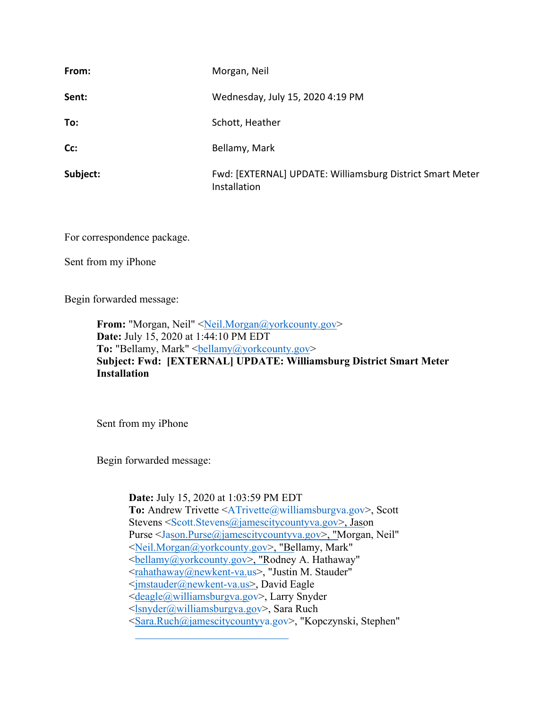| From:    | Morgan, Neil                                                              |
|----------|---------------------------------------------------------------------------|
| Sent:    | Wednesday, July 15, 2020 4:19 PM                                          |
| To:      | Schott, Heather                                                           |
| Cc:      | Bellamy, Mark                                                             |
| Subject: | Fwd: [EXTERNAL] UPDATE: Williamsburg District Smart Meter<br>Installation |

For correspondence package.

Sent from my iPhone

Begin forwarded message:

From: "Morgan, Neil" <[Neil.Morgan@yorkcounty.gov](mailto:Neil.Morgan@yorkcounty.gov)> **Date:** July 15, 2020 at 1:44:10 PM EDT **To:** "Bellamy, Mark" <br/>bellamy@yorkcounty.gov> **Subject: Fwd: [EXTERNAL] UPDATE: Williamsburg District Smart Meter Installation** 

Sent from my iPhone

Begin forwarded message:

**Date:** July 15, 2020 at 1:03:59 PM EDT **To:** Andrew Trivette [<ATrivette@williamsburgva.gov>](mailto:ATrivette@williamsburgva.gov), Scott Stevens [<Scott.Stevens@jamescitycountyva.gov](mailto:Scott.Stevens@jamescitycountyva.gov)>, Jason Purse [<Jason.Purse@jamescitycountyva.gov>](mailto:Jason.Purse@jamescitycountyva.gov), "Morgan, Neil" <[Neil.Morgan@yorkcounty.gov](mailto:Neil.Morgan@yorkcounty.gov)>, "Bellamy, Mark" <[bellamy@yorkcounty.gov](mailto:bellamy@yorkcounty.gov)>, "Rodney A. Hathaway" <[rahathaway@newkent-va.us>](mailto:rahathaway@newkent-va.us), "Justin M. Stauder" <[jmstauder@newkent-va.us>](mailto:jmstauder@newkent-va.us), David Eagle <[deagle@williamsburgva.gov>](mailto:deagle@williamsburgva.gov), Larry Snyder <[lsnyder@williamsburgva.gov>](mailto:lsnyder@williamsburgva.gov), Sara Ruch <[Sara.Ruch@jamescitycountyva.gov>](mailto:Sara.Ruch@jamescitycountyva.gov), "Kopczynski, Stephen"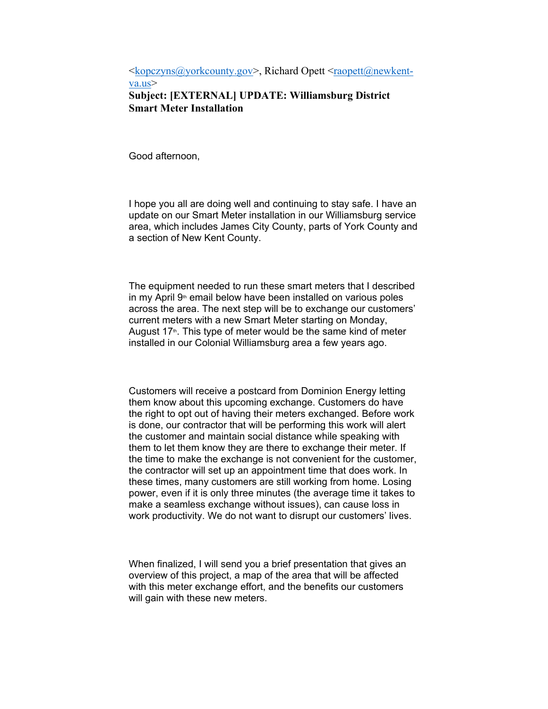$\langle \text{kopczyns}(\hat{\mathbf{a}}) \rangle$  orkcounty.gov>, Richard Opett  $\langle \text{rapett}(\hat{\mathbf{a}}) \rangle$ newkentva.us> **Subject: [EXTERNAL] UPDATE: Williamsburg District Smart Meter Installation** 

Good afternoon,

I hope you all are doing well and continuing to stay safe. I have an update on our Smart Meter installation in our Williamsburg service area, which includes James City County, parts of York County and a section of New Kent County.

The equipment needed to run these smart meters that I described in my April  $9<sup>th</sup>$  email below have been installed on various poles across the area. The next step will be to exchange our customers' current meters with a new Smart Meter starting on Monday, August  $17<sup>th</sup>$ . This type of meter would be the same kind of meter installed in our Colonial Williamsburg area a few years ago.

Customers will receive a postcard from Dominion Energy letting them know about this upcoming exchange. Customers do have the right to opt out of having their meters exchanged. Before work is done, our contractor that will be performing this work will alert the customer and maintain social distance while speaking with them to let them know they are there to exchange their meter. If the time to make the exchange is not convenient for the customer, the contractor will set up an appointment time that does work. In these times, many customers are still working from home. Losing power, even if it is only three minutes (the average time it takes to make a seamless exchange without issues), can cause loss in work productivity. We do not want to disrupt our customers' lives.

When finalized, I will send you a brief presentation that gives an overview of this project, a map of the area that will be affected with this meter exchange effort, and the benefits our customers will gain with these new meters.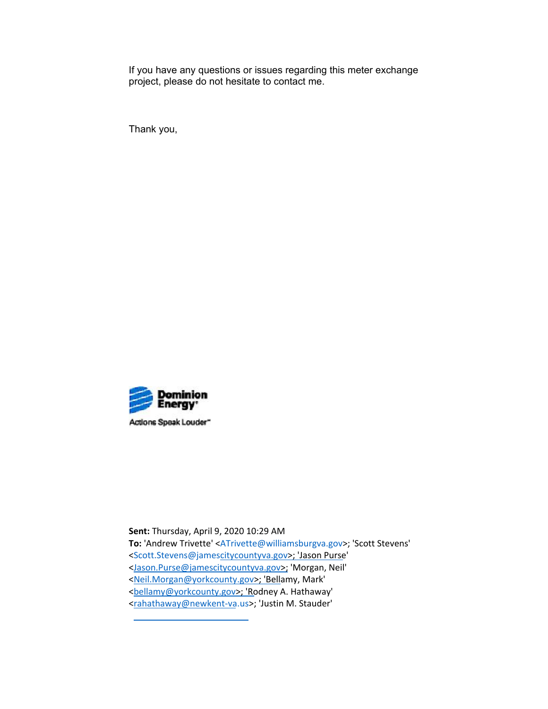If you have any questions or issues regarding this meter exchange project, please do not hesitate to contact me.

Thank you,



 **Sent:** Thursday, April 9, 2020 10:29 AM **To:** 'Andrew Trivette' [<ATrivette@williamsburgva.gov>](mailto:ATrivette@williamsburgva.gov); 'Scott Stevens' [<Scott.Stevens@jamescitycountyva.gov>](mailto:Scott.Stevens@jamescitycountyva.gov); 'Jason Purse' [<Jason.Purse@jamescitycountyva.gov>](mailto:Jason.Purse@jamescitycountyva.gov); 'Morgan, Neil' [<Neil.Morgan@yorkcounty.gov>](mailto:Neil.Morgan@yorkcounty.gov); 'Bellamy, Mark' [<bellamy@yorkcounty.gov>](mailto:bellamy@yorkcounty.gov); 'Rodney A. Hathaway' [<rahathaway@newkent](mailto:rahathaway@newkent-va.us)-va.us>; 'Justin M. Stauder'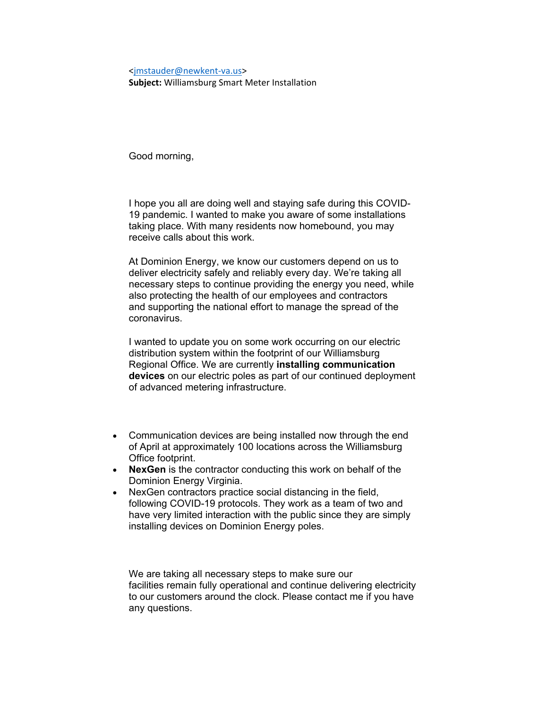#### <[jmstauder@newkent](mailto:jmstauder@newkent-va.us)‐va.us>

**Subject:** Williamsburg Smart Meter Installation

Good morning,

I hope you all are doing well and staying safe during this COVID-19 pandemic. I wanted to make you aware of some installations taking place. With many residents now homebound, you may receive calls about this work.

At Dominion Energy, we know our customers depend on us to deliver electricity safely and reliably every day. We're taking all necessary steps to continue providing the energy you need, while also protecting the health of our employees and contractors and supporting the national effort to manage the spread of the coronavirus.

I wanted to update you on some work occurring on our electric distribution system within the footprint of our Williamsburg Regional Office. We are currently **installing communication devices** on our electric poles as part of our continued deployment of advanced metering infrastructure.

- Communication devices are being installed now through the end of April at approximately 100 locations across the Williamsburg Office footprint.
- **NexGen** is the contractor conducting this work on behalf of the Dominion Energy Virginia.
- NexGen contractors practice social distancing in the field, following COVID-19 protocols. They work as a team of two and have very limited interaction with the public since they are simply installing devices on Dominion Energy poles.

We are taking all necessary steps to make sure our facilities remain fully operational and continue delivering electricity to our customers around the clock. Please contact me if you have any questions.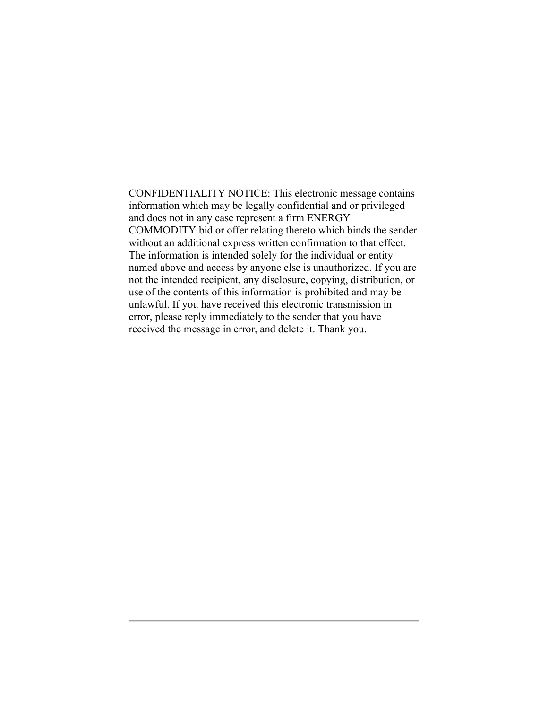CONFIDENTIALITY NOTICE: This electronic message contains unlawful. If you have received this electronic transmission in received the message in error, and delete it. Thank you. information which may be legally confidential and or privileged and does not in any case represent a firm ENERGY COMMODITY bid or offer relating thereto which binds the sender without an additional express written confirmation to that effect. The information is intended solely for the individual or entity named above and access by anyone else is unauthorized. If you are not the intended recipient, any disclosure, copying, distribution, or use of the contents of this information is prohibited and may be error, please reply immediately to the sender that you have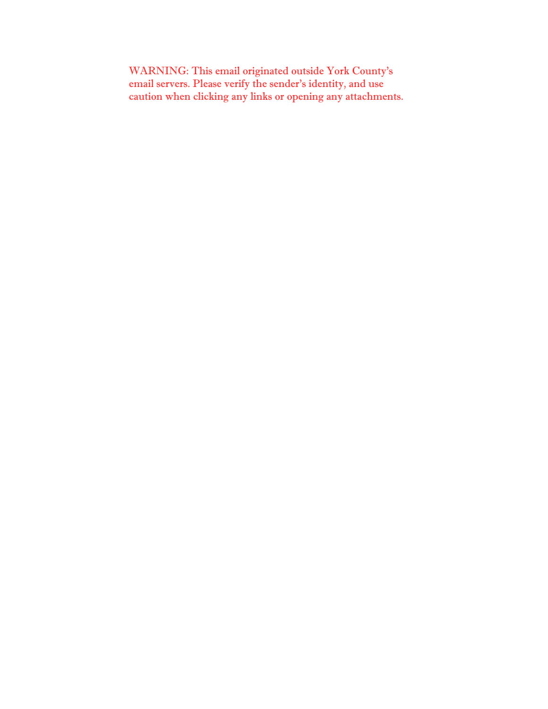WARNING: This email originated outside York County's email servers. Please verify the sender's identity, and use caution when clicking any links or opening any attachments.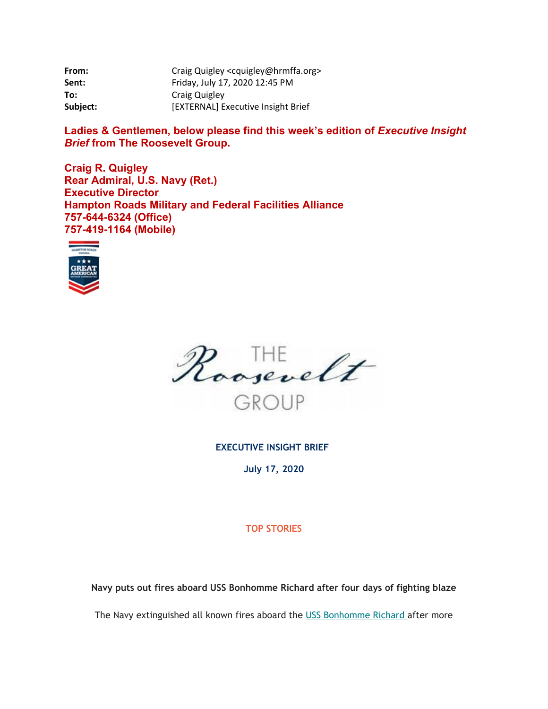| From:    | Craig Quigley <cquigley@hrmffa.org></cquigley@hrmffa.org> |
|----------|-----------------------------------------------------------|
| Sent:    | Friday, July 17, 2020 12:45 PM                            |
| To:      | Craig Quigley                                             |
| Subject: | [EXTERNAL] Executive Insight Brief                        |

Ladies & Gentlemen, below please find this week's edition of *Executive Insight Brief* **from The Roosevelt Group.** 

**Craig R. Quigley Rear Admiral, U.S. Navy (Ret.) Executive Director Hampton Roads Military and Federal Facilities Alliance 757-644-6324 (Office) 757-419-1164 (Mobile)**





**EXECUTIVE INSIGHT BRIEF** 

**July 17, 2020** 

## **TOP STORIES**

**Navy puts out fires aboard USS Bonhomme Richard after four days of fighting blaze** 

The Navy extinguished all known fires aboard the USS Bonhomme Richard after more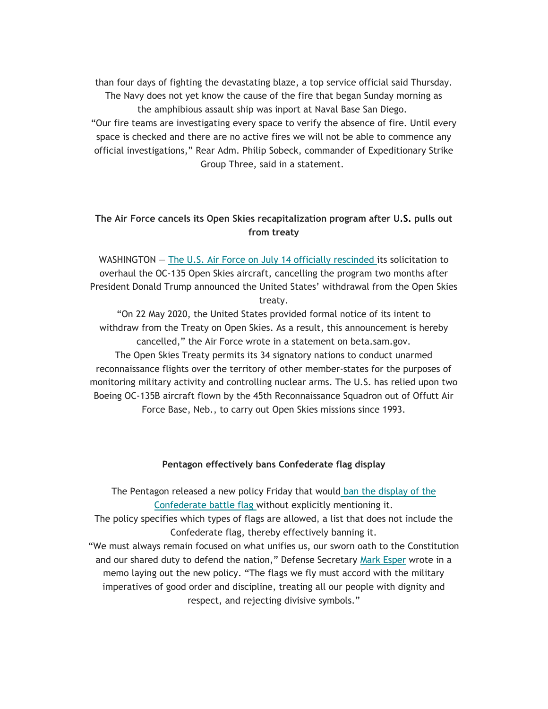Group Three, said in a statement. than four days of fighting the devastating blaze, a top service official said Thursday. The Navy does not yet know the cause of the fire that began Sunday morning as the amphibious assault ship was inport at Naval Base San Diego. "Our fire teams are investigating every space to verify the absence of fire. Until every space is checked and there are no active fires we will not be able to commence any official investigations," Rear Adm. Philip Sobeck, commander of Expeditionary Strike

## **The Air Force cancels its Open Skies recapitalization program after U.S. pulls out from treaty**

WASHINGTON — The U.S. Air Force on July 14 officially rescinded its solicitation to overhaul the OC-135 Open Skies aircraft, cancelling the program two months after President Donald Trump announced the United States' withdrawal from the Open Skies treaty.

"On 22 May 2020, the United States provided formal notice of its intent to withdraw from the Treaty on Open Skies. As a result, this announcement is hereby cancelled," the Air Force wrote in a statement on [beta.sam.gov](https://beta.sam.gov). The Open Skies Treaty permits its 34 signatory nations to conduct unarmed reconnaissance flights over the territory of other member-states for the purposes of monitoring military activity and controlling nuclear arms. The U.S. has relied upon two Boeing OC-135B aircraft flown by the 45th Reconnaissance Squadron out of Offutt Air Force Base, Neb., to carry out Open Skies missions since 1993.

#### **Pentagon effectively bans Confederate flag display**

The Pentagon released a new policy Friday that would ban the display of the Confederate battle flag without explicitly mentioning it.

The policy specifies which types of flags are allowed, a list that does not include the Confederate flag, thereby effectively banning it.

"We must always remain focused on what unifies us, our sworn oath to the Constitution and our shared duty to defend the nation," Defense Secretary Mark Esper wrote in a memo laying out the new policy. "The flags we fly must accord with the military imperatives of good order and discipline, treating all our people with dignity and respect, and rejecting divisive symbols."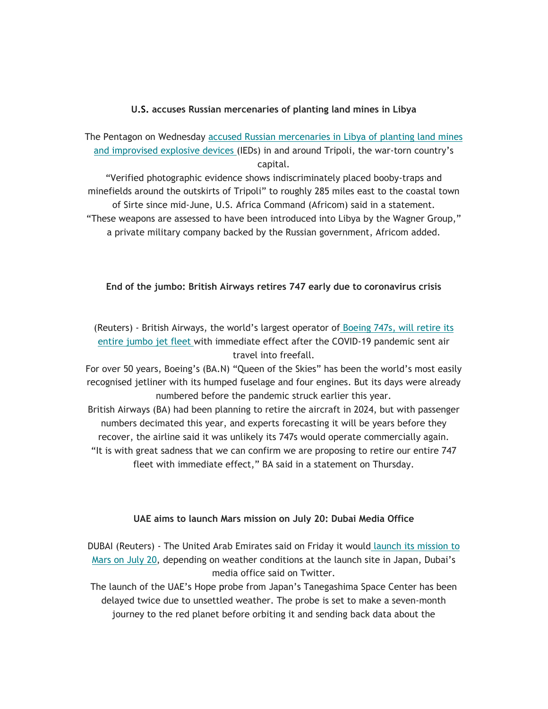#### **U.S. accuses Russian mercenaries of planting land mines in Libya**

The Pentagon on Wednesday accused Russian mercenaries in Libya of planting land mines and improvised explosive devices (IEDs) in and around Tripoli, the war-torn country's capital.

"Verified photographic evidence shows indiscriminately placed booby-traps and minefields around the outskirts of Tripoli" to roughly 285 miles east to the coastal town of Sirte since mid-June, U.S. Africa Command (Africom) said in a statement. "These weapons are assessed to have been introduced into Libya by the Wagner Group," a private military company backed by the Russian government, Africom added.

## **End of the jumbo: British Airways retires 747 early due to coronavirus crisis**

(Reuters) - British Airways, the world's largest operator of Boeing 747s, will retire its entire jumbo jet fleet with immediate effect after the COVID-19 pandemic sent air travel into freefall.

For over 50 years, Boeing's (BA.N) "Queen of the Skies" has been the world's most easily recognised jetliner with its humped fuselage and four engines. But its days were already numbered before the pandemic struck earlier this year.

British Airways (BA) had been planning to retire the aircraft in 2024, but with passenger numbers decimated this year, and experts forecasting it will be years before they recover, the airline said it was unlikely its 747s would operate commercially again. "It is with great sadness that we can confirm we are proposing to retire our entire 747 fleet with immediate effect," BA said in a statement on Thursday.

#### **UAE aims to launch Mars mission on July 20: Dubai Media Office**

DUBAI (Reuters) - The United Arab Emirates said on Friday it would launch its mission to Mars on July 20, depending on weather conditions at the launch site in Japan, Dubai's media office said on Twitter.

The launch of the UAE's Hope probe from Japan's Tanegashima Space Center has been delayed twice due to unsettled weather. The probe is set to make a seven-month journey to the red planet before orbiting it and sending back data about the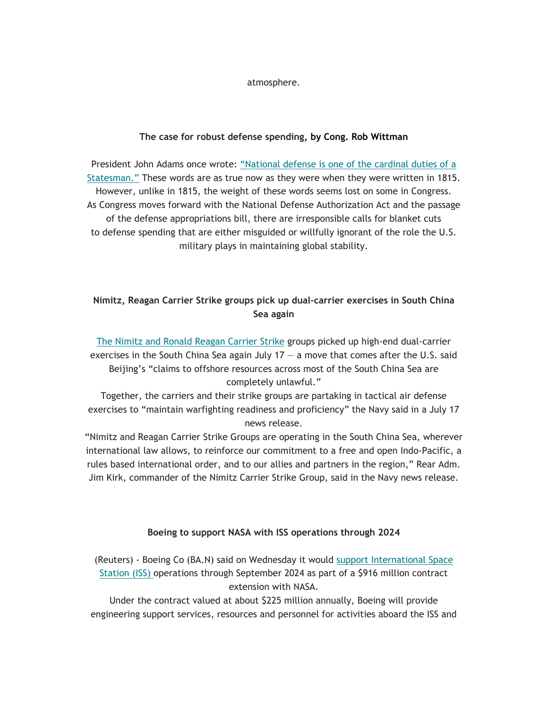atmosphere.

## **The case for robust defense spending, by Cong. Rob Wittman**

President John Adams once wrote: "National defense is one of the cardinal duties of a Statesman." These words are as true now as they were when they were written in 1815. However, unlike in 1815, the weight of these words seems lost on some in Congress. As Congress moves forward with the National Defense Authorization Act and the passage of the defense appropriations bill, there are irresponsible calls for blanket cuts to defense spending that are either misguided or willfully ignorant of the role the U.S. military plays in maintaining global stability.

# **Nimitz, Reagan Carrier Strike groups pick up dual-carrier exercises in South China Sea again**

The Nimitz and Ronald Reagan Carrier Strike groups picked up high-end dual-carrier exercises in the South China Sea again July  $17 - a$  move that comes after the U.S. said Beijing's "claims to offshore resources across most of the South China Sea are completely unlawful."

Together, the carriers and their strike groups are partaking in tactical air defense exercises to "maintain warfighting readiness and proficiency" the Navy said in a July 17 news release.

"Nimitz and Reagan Carrier Strike Groups are operating in the South China Sea, wherever international law allows, to reinforce our commitment to a free and open Indo-Pacific, a rules based international order, and to our allies and partners in the region," Rear Adm. Jim Kirk, commander of the Nimitz Carrier Strike Group, said in the Navy news release.

## **Boeing to support NASA with ISS operations through 2024**

(Reuters) - Boeing Co (BA.N) said on Wednesday it would support International Space Station (ISS) operations through September 2024 as part of a \$916 million contract extension with NASA.

Under the contract valued at about \$225 million annually, Boeing will provide engineering support services, resources and personnel for activities aboard the ISS and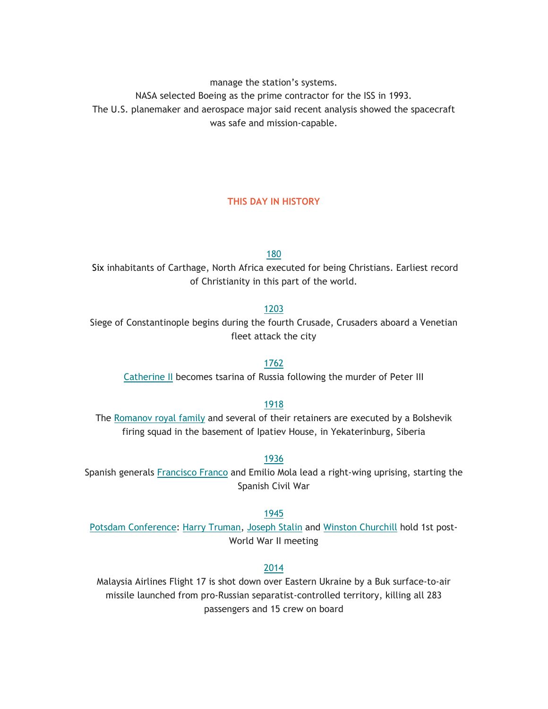manage the station's systems.

NASA selected Boeing as the prime contractor for the ISS in 1993.

The U.S. planemaker and aerospace major said recent analysis showed the spacecraft was safe and mission-capable.

## **THIS DAY IN HISTORY**

180

Six inhabitants of Carthage, North Africa executed for being Christians. Earliest record of Christianity in this part of the world.

#### 1203

Siege of Constantinople begins during the fourth Crusade, Crusaders aboard a Venetian fleet attack the city

#### 1762

Catherine II becomes tsarina of Russia following the murder of Peter III

#### 1918

The Romanov royal family and several of their retainers are executed by a Bolshevik firing squad in the basement of Ipatiev House, in Yekaterinburg, Siberia

#### 1936

Spanish generals Francisco Franco and Emilio Mola lead a right-wing uprising, starting the Spanish Civil War

#### 1945

Potsdam Conference: Harry Truman, Joseph Stalin and Winston Churchill hold 1st post-World War II meeting

## 2014

Malaysia Airlines Flight 17 is shot down over Eastern Ukraine by a Buk surface-to-air missile launched from pro-Russian separatist-controlled territory, killing all 283 passengers and 15 crew on board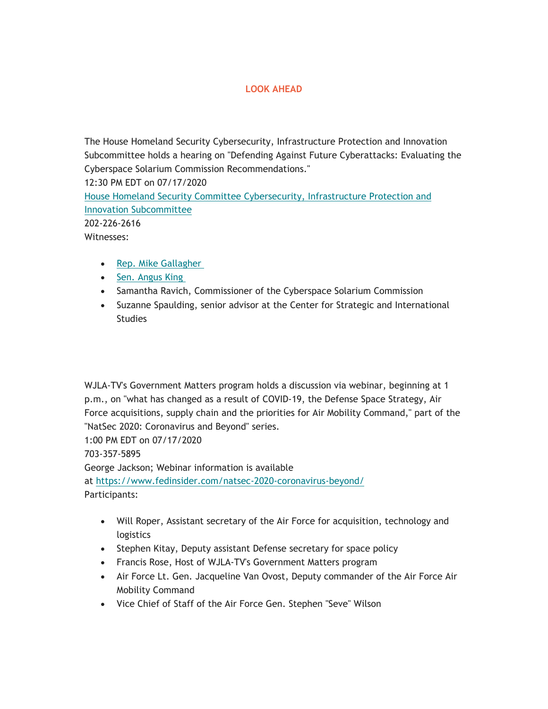## **LOOK AHEAD**

The House Homeland Security Cybersecurity, Infrastructure Protection and Innovation Subcommittee holds a hearing on "Defending Against Future Cyberattacks: Evaluating the Cyberspace Solarium Commission Recommendations." 12:30 PM EDT on 07/17/2020 House Homeland Security Committee Cybersecurity, Infrastructure Protection and Innovation Subcommittee

202-226-2616

Witnesses:

- Rep. Mike Gallagher
- Sen. Angus King
- Samantha Ravich, Commissioner of the Cyberspace Solarium Commission
- Suzanne Spaulding, senior advisor at the Center for Strategic and International **Studies**

WJLA-TV's Government Matters program holds a discussion via webinar, beginning at 1 p.m., on "what has changed as a result of COVID-19, the Defense Space Strategy, Air Force acquisitions, supply chain and the priorities for Air Mobility Command," part of the "NatSec 2020: Coronavirus and Beyond" series.

1:00 PM EDT on 07/17/2020

703-357-5895

George Jackson; Webinar information is available

at [https://www.fedinsider.com/natsec-2020-coronavirus-beyond/](https://www.fedinsider.com/natsec-2020-coronavirus-beyond) Participants:

- Will Roper, Assistant secretary of the Air Force for acquisition, technology and logistics
- Stephen Kitay, Deputy assistant Defense secretary for space policy
- Francis Rose, Host of WJLA-TV's Government Matters program
- Air Force Lt. Gen. Jacqueline Van Ovost, Deputy commander of the Air Force Air Mobility Command
- Vice Chief of Staff of the Air Force Gen. Stephen "Seve" Wilson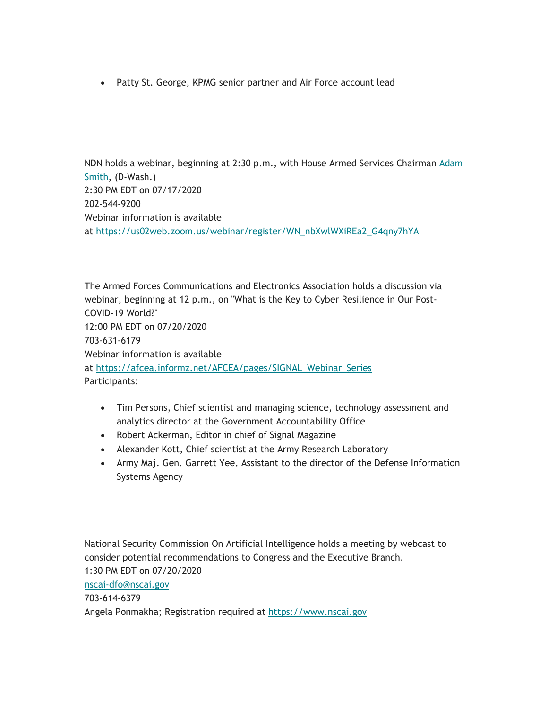Patty St. George, KPMG senior partner and Air Force account lead

NDN holds a webinar, beginning at 2:30 p.m., with House Armed Services Chairman  $Adam$ Smith, (D-Wash.) 2:30 PM EDT on 07/17/2020 202-544-9200 Webinar information is available at [https://us02web.zoom.us/webinar/register/WN\\_nbXwlWXiREa2\\_G4qny7hYA](https://us02web.zoom.us/webinar/register/WN_nbXwlWXiREa2_G4qny7hYA)

The Armed Forces Communications and Electronics Association holds a discussion via webinar, beginning at 12 p.m., on "What is the Key to Cyber Resilience in Our Post-COVID-19 World?" 12:00 PM EDT on 07/20/2020 703-631-6179 Webinar information is available at [https://afcea.informz.net/AFCEA/pages/SIGNAL\\_Webinar\\_Series](https://afcea.informz.net/AFCEA/pages/SIGNAL_Webinar_Series) Participants:

- Tim Persons, Chief scientist and managing science, technology assessment and analytics director at the Government Accountability Office
- Robert Ackerman, Editor in chief of Signal Magazine
- Alexander Kott, Chief scientist at the Army Research Laboratory
- Army Maj. Gen. Garrett Yee, Assistant to the director of the Defense Information Systems Agency

National Security Commission On Artificial Intelligence holds a meeting by webcast to consider potential recommendations to Congress and the Executive Branch. 1:30 PM EDT on 07/20/2020 [nscai-dfo@nscai.gov](mailto:nscai-dfo@nscai.gov) 703-614-6379 Angela Ponmakha; Registration required at<https://www.nscai.gov>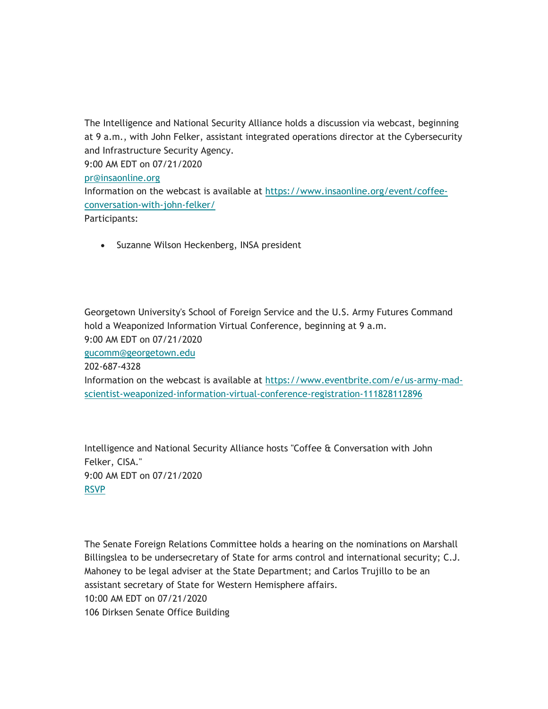The Intelligence and National Security Alliance holds a discussion via webcast, beginning at 9 a.m., with John Felker, assistant integrated operations director at the Cybersecurity and Infrastructure Security Agency. 9:00 AM EDT on 07/21/2020 [pr@insaonline.org](mailto:pr@insaonline.org)  Information on the webcast is available at <https://www.insaonline.org/event/coffee>conversation-with-john-felker/ Participants:

Suzanne Wilson Heckenberg, INSA president

Georgetown University's School of Foreign Service and the U.S. Army Futures Command hold a Weaponized Information Virtual Conference, beginning at 9 a.m. 9:00 AM EDT on 07/21/2020

[gucomm@georgetown.edu](mailto:gucomm@georgetown.edu)

202-687-4328

Information on the webcast is available at <https://www.eventbrite.com/e/us-army-mad>scientist-weaponized-information-virtual-conference-registration-111828112896

Intelligence and National Security Alliance hosts "Coffee & Conversation with John Felker, CISA." 9:00 AM EDT on 07/21/2020 RSVP

The Senate Foreign Relations Committee holds a hearing on the nominations on Marshall Billingslea to be undersecretary of State for arms control and international security; C.J. Mahoney to be legal adviser at the State Department; and Carlos Trujillo to be an assistant secretary of State for Western Hemisphere affairs. 10:00 AM EDT on 07/21/2020 106 Dirksen Senate Office Building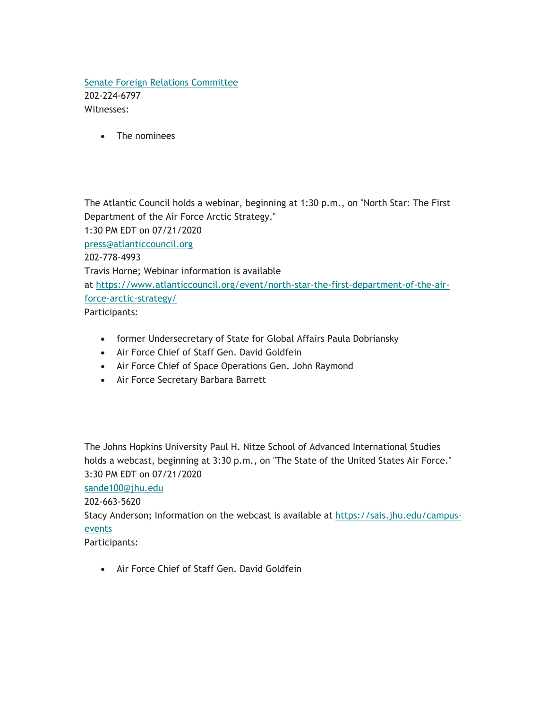## Senate Foreign Relations Committee 202-224-6797 Witnesses:

The nominees

The Atlantic Council holds a webinar, beginning at 1:30 p.m., on "North Star: The First Department of the Air Force Arctic Strategy." 1:30 PM EDT on 07/21/2020 [press@atlanticcouncil.org](mailto:press@atlanticcouncil.org)  202-778-4993 Travis Horne; Webinar information is available at<https://www.atlanticcouncil.org/event/north-star-the-first-department-of-the-air>force-arctic-strategy/ Participants:

- former Undersecretary of State for Global Affairs Paula Dobriansky
- Air Force Chief of Staff Gen. David Goldfein
- Air Force Chief of Space Operations Gen. John Raymond
- Air Force Secretary Barbara Barrett

The Johns Hopkins University Paul H. Nitze School of Advanced International Studies holds a webcast, beginning at 3:30 p.m., on "The State of the United States Air Force." 3:30 PM EDT on 07/21/2020

#### [sande100@jhu.edu](mailto:sande100@jhu.edu)

202-663-5620

Stacy Anderson; Information on the webcast is available at <https://sais.jhu.edu/campus>events

Participants:

Air Force Chief of Staff Gen. David Goldfein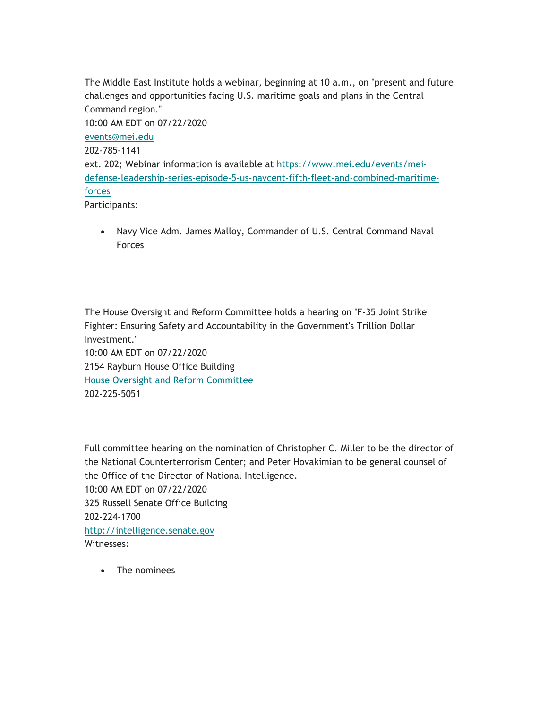The Middle East Institute holds a webinar, beginning at 10 a.m., on "present and future challenges and opportunities facing U.S. maritime goals and plans in the Central Command region." 10:00 AM EDT on 07/22/2020 [events@mei.edu](mailto:events@mei.edu)  202-785-1141 ext. 202; Webinar information is available at<https://www.mei.edu/events/mei>defense-leadership-series-episode-5-us-navcent-fifth-fleet-and-combined-maritimeforces Participants:

 Navy Vice Adm. James Malloy, Commander of U.S. Central Command Naval Forces

The House Oversight and Reform Committee holds a hearing on "F-35 Joint Strike Fighter: Ensuring Safety and Accountability in the Government's Trillion Dollar Investment." 10:00 AM EDT on 07/22/2020 2154 Rayburn House Office Building House Oversight and Reform Committee 202-225-5051

Full committee hearing on the nomination of Christopher C. Miller to be the director of the National Counterterrorism Center; and Peter Hovakimian to be general counsel of the Office of the Director of National Intelligence. 10:00 AM EDT on 07/22/2020 325 Russell Senate Office Building 202-224-1700 <http://intelligence.senate.gov> Witnesses:

• The nominees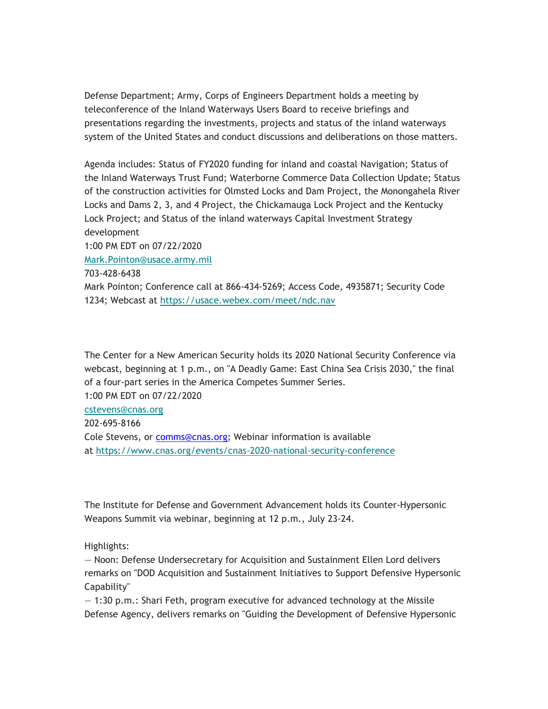Defense Department; Army, Corps of Engineers Department holds a meeting by teleconference of the Inland Waterways Users Board to receive briefings and presentations regarding the investments, projects and status of the inland waterways system of the United States and conduct discussions and deliberations on those matters.

Agenda includes: Status of FY2020 funding for inland and coastal Navigation; Status of the Inland Waterways Trust Fund; Waterborne Commerce Data Collection Update; Status of the construction activities for Olmsted Locks and Dam Project, the Monongahela River Locks and Dams 2, 3, and 4 Project, the Chickamauga Lock Project and the Kentucky Lock Project; and Status of the inland waterways Capital Investment Strategy development 1:00 PM EDT on 07/22/2020 [Mark.Pointon@usace.army.mil](mailto:Mark.Pointon@usace.army.mil)  703-428-6438 Mark Pointon; Conference call at 866-434-5269; Access Code, 4935871; Security Code

1234; Webcast at<https://usace.webex.com/meet/ndc.nav>

The Center for a New American Security holds its 2020 National Security Conference via webcast, beginning at 1 p.m., on "A Deadly Game: East China Sea Crisis 2030," the final of a four-part series in the America Competes Summer Series.

1:00 PM EDT on 07/22/2020

[cstevens@cnas.org](mailto:cstevens@cnas.org)

202-695-8166

Cole Stevens, or [comms@cnas.org](mailto:comms@cnas.org); Webinar information is available at<https://www.cnas.org/events/cnas-2020-national-security-conference>

The Institute for Defense and Government Advancement holds its Counter-Hypersonic Weapons Summit via webinar, beginning at 12 p.m., July 23-24.

Highlights:

— Noon: Defense Undersecretary for Acquisition and Sustainment Ellen Lord delivers remarks on "DOD Acquisition and Sustainment Initiatives to Support Defensive Hypersonic Capability"

— 1:30 p.m.: Shari Feth, program executive for advanced technology at the Missile Defense Agency, delivers remarks on "Guiding the Development of Defensive Hypersonic